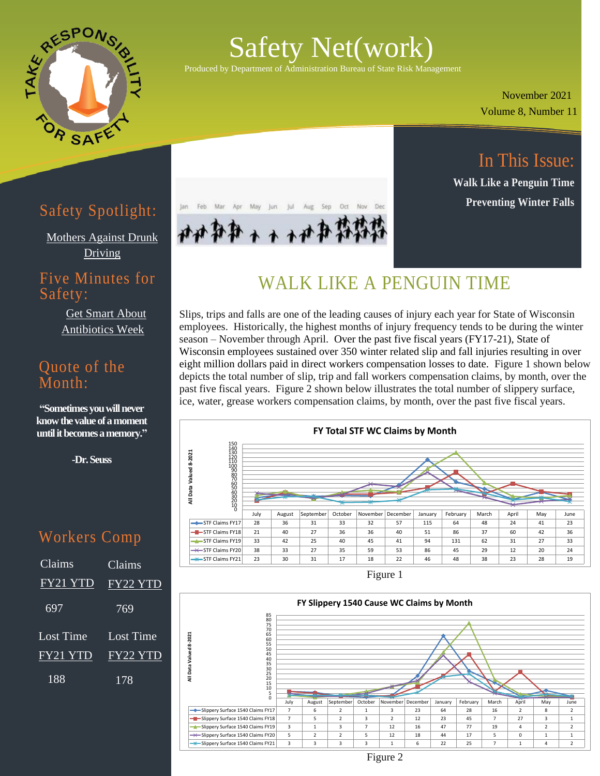

# Safety Net(work)

Produced by Department of Administration Bureau of State Risk Management

 Volume 8, Number 11 November 2021

In This Issue:

**Walk Like a Penguin Time**

**Preventing Winter Falls**

## Safety Spotlight:

[Mothers Against Drunk](https://www.madd.org/)  [Driving](https://www.madd.org/)

#### Five Minutes for Safety:

[Get Smart About](https://www.cdc.gov/antibiotic-use/week/index.html)  [Antibiotics Week](https://www.cdc.gov/antibiotic-use/week/index.html)

#### Quote of the Month:

**"Sometimes you will never know the value of a moment until it becomes a memory."**

**-Dr. Seuss**

### Workers Comp

| Claims    | Claims    |
|-----------|-----------|
| FY21 YTD  | FY22 YTD  |
| 697       | 769       |
| Lost Time | Lost Time |
| FY21 YTD  | FY22 YTD  |
| 188       | 178       |



## WALK LIKE A PENGUIN TIME

Produced by Department of Administration Bureau of State Risk Management

Slips, trips and falls are one of the leading causes of injury each year for State of Wisconsin employees. Historically, the highest months of injury frequency tends to be during the winter season – November through April. Over the past five fiscal years (FY17-21), State of Wisconsin employees sustained over 350 winter related slip and fall injuries resulting in over eight million dollars paid in direct workers compensation losses to date. Figure 1 shown below depicts the total number of slip, trip and fall workers compensation claims, by month, over the past five fiscal years. Figure 2 shown below illustrates the total number of slippery surface, ice, water, grease workers compensation claims, by month, over the past five fiscal years.